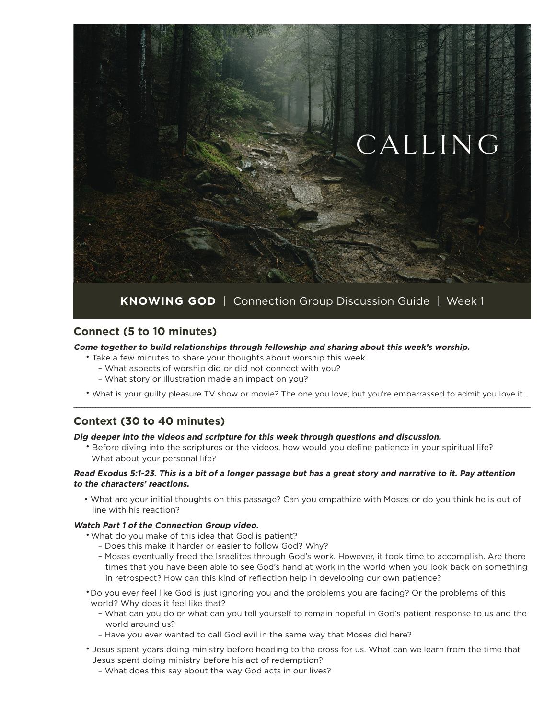

### **Connect (5 to 10 minutes)**

#### **Come together to build relationships through fellowship and sharing about this week's worship.**

- Take a few minutes to share your thoughts about worship this week.
	- What aspects of worship did or did not connect with you?
	- What story or illustration made an impact on you?
- What is your guilty pleasure TV show or movie? The one you love, but you're embarrassed to admit you love it… \_\_\_\_\_\_\_\_\_\_\_\_\_\_\_\_\_\_\_\_\_\_\_\_\_\_\_\_\_\_\_\_\_\_\_\_\_\_\_\_\_\_\_\_\_\_\_\_\_\_\_\_\_\_\_\_\_\_\_\_\_\_\_\_\_\_\_\_\_\_\_\_\_\_\_\_\_\_\_\_\_\_\_\_\_\_\_\_\_\_\_\_\_\_\_\_\_\_\_\_\_\_\_\_\_\_\_\_\_\_\_\_\_\_\_\_\_\_\_\_\_\_\_\_\_\_\_\_\_\_\_\_\_\_\_\_\_\_\_\_\_\_\_\_\_\_\_\_\_\_\_\_\_\_\_\_\_\_\_\_\_\_\_\_\_\_\_\_

## **Context (30 to 40 minutes)**

### **Dig deeper into the videos and scripture for this week through questions and discussion.**

• Before diving into the scriptures or the videos, how would you define patience in your spiritual life? What about your personal life?

#### **Read Exodus 5:1-23. This is a bit of a longer passage but has a great story and narrative to it. Pay attention to the characters' reactions.**

• What are your initial thoughts on this passage? Can you empathize with Moses or do you think he is out of line with his reaction?

### **Watch Part 1 of the Connection Group video.**

- •What do you make of this idea that God is patient?
	- Does this make it harder or easier to follow God? Why?
	- Moses eventually freed the Israelites through God's work. However, it took time to accomplish. Are there times that you have been able to see God's hand at work in the world when you look back on something in retrospect? How can this kind of reflection help in developing our own patience?

•Do you ever feel like God is just ignoring you and the problems you are facing? Or the problems of this world? Why does it feel like that?

- What can you do or what can you tell yourself to remain hopeful in God's patient response to us and the world around us?
- Have you ever wanted to call God evil in the same way that Moses did here?
- Jesus spent years doing ministry before heading to the cross for us. What can we learn from the time that Jesus spent doing ministry before his act of redemption?
	- What does this say about the way God acts in our lives?